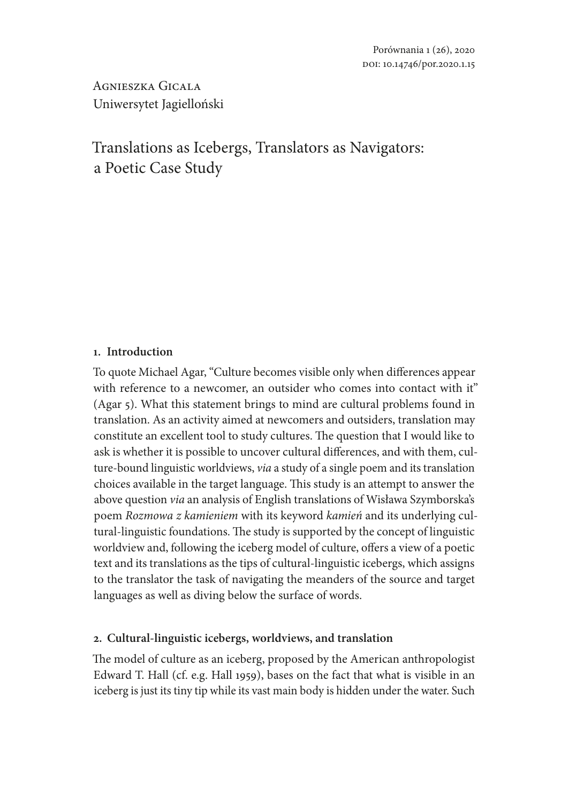Agnieszka Gicala Uniwersytet Jagielloński

# Translations as Icebergs, Translators as Navigators: a Poetic Case Study

# **1. Introduction**

To quote Michael Agar, "Culture becomes visible only when differences appear with reference to a newcomer, an outsider who comes into contact with it" (Agar 5). What this statement brings to mind are cultural problems found in translation. As an activity aimed at newcomers and outsiders, translation may constitute an excellent tool to study cultures. The question that I would like to ask is whether it is possible to uncover cultural differences, and with them, culture-bound linguistic worldviews, *via* a study of a single poem and its translation choices available in the target language. This study is an attempt to answer the above question *via* an analysis of English translations of Wisława Szymborska's poem *Rozmowa z kamieniem* with its keyword *kamień* and its underlying cultural-linguistic foundations. The study is supported by the concept of linguistic worldview and, following the iceberg model of culture, offers a view of a poetic text and its translations as the tips of cultural-linguistic icebergs, which assigns to the translator the task of navigating the meanders of the source and target languages as well as diving below the surface of words.

# **2. Cultural-linguistic icebergs, worldviews, and translation**

The model of culture as an iceberg, proposed by the American anthropologist Edward T. Hall (cf. e.g. Hall 1959), bases on the fact that what is visible in an iceberg is just its tiny tip while its vast main body is hidden under the water. Such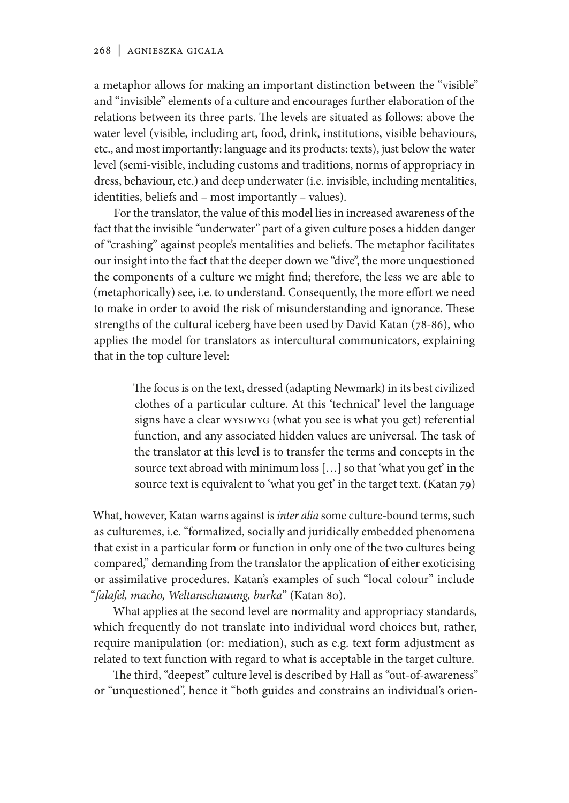a metaphor allows for making an important distinction between the "visible" and "invisible" elements of a culture and encourages further elaboration of the relations between its three parts. The levels are situated as follows: above the water level (visible, including art, food, drink, institutions, visible behaviours, etc., and most importantly: language and its products: texts), just below the water level (semi-visible, including customs and traditions, norms of appropriacy in dress, behaviour, etc.) and deep underwater (i.e. invisible, including mentalities, identities, beliefs and – most importantly – values).

For the translator, the value of this model lies in increased awareness of the fact that the invisible "underwater" part of a given culture poses a hidden danger of "crashing" against people's mentalities and beliefs. The metaphor facilitates our insight into the fact that the deeper down we "dive", the more unquestioned the components of a culture we might find; therefore, the less we are able to (metaphorically) see, i.e. to understand. Consequently, the more effort we need to make in order to avoid the risk of misunderstanding and ignorance. These strengths of the cultural iceberg have been used by David Katan (78-86), who applies the model for translators as intercultural communicators, explaining that in the top culture level:

> The focus is on the text, dressed (adapting Newmark) in its best civilized clothes of a particular culture. At this 'technical' level the language signs have a clear WYSIWYG (what you see is what you get) referential function, and any associated hidden values are universal. The task of the translator at this level is to transfer the terms and concepts in the source text abroad with minimum loss […] so that 'what you get' in the source text is equivalent to 'what you get' in the target text. (Katan 79)

What, however, Katan warns against is *inter alia* some culture-bound terms, such as culturemes, i.e. "formalized, socially and juridically embedded phenomena that exist in a particular form or function in only one of the two cultures being compared," demanding from the translator the application of either exoticising or assimilative procedures. Katan's examples of such "local colour" include "*falafel, macho, Weltanschauung, burka*" (Katan 80).

What applies at the second level are normality and appropriacy standards, which frequently do not translate into individual word choices but, rather, require manipulation (or: mediation), such as e.g. text form adjustment as related to text function with regard to what is acceptable in the target culture.

The third, "deepest" culture level is described by Hall as "out-of-awareness" or "unquestioned", hence it "both guides and constrains an individual's orien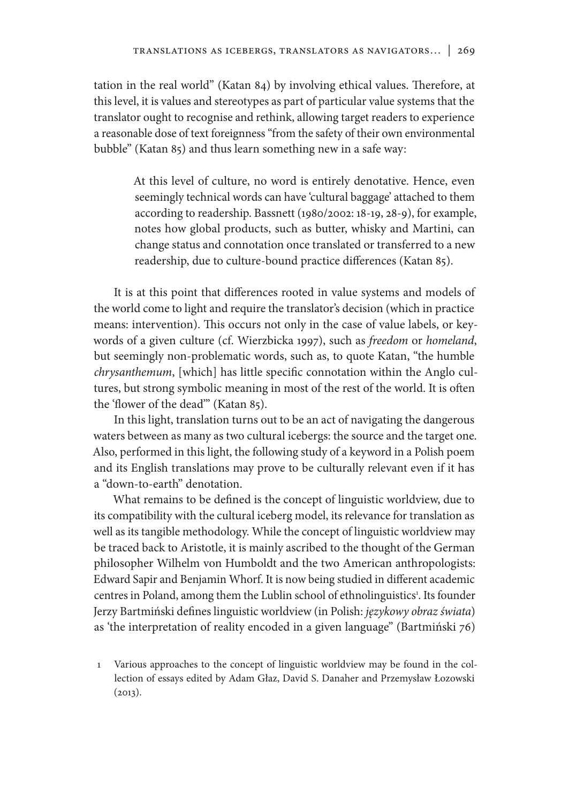tation in the real world" (Katan 84) by involving ethical values. Therefore, at this level, it is values and stereotypes as part of particular value systems that the translator ought to recognise and rethink, allowing target readers to experience a reasonable dose of text foreignness "from the safety of their own environmental bubble" (Katan 85) and thus learn something new in a safe way:

> At this level of culture, no word is entirely denotative. Hence, even seemingly technical words can have 'cultural baggage' attached to them according to readership. Bassnett (1980/2002: 18-19, 28-9), for example, notes how global products, such as butter, whisky and Martini, can change status and connotation once translated or transferred to a new readership, due to culture-bound practice differences (Katan 85).

It is at this point that differences rooted in value systems and models of the world come to light and require the translator's decision (which in practice means: intervention). This occurs not only in the case of value labels, or keywords of a given culture (cf. Wierzbicka 1997), such as *freedom* or *homeland*, but seemingly non-problematic words, such as, to quote Katan, "the humble *chrysanthemum*, [which] has little specific connotation within the Anglo cultures, but strong symbolic meaning in most of the rest of the world. It is often the 'flower of the dead'" (Katan 85).

In this light, translation turns out to be an act of navigating the dangerous waters between as many as two cultural icebergs: the source and the target one. Also, performed in this light, the following study of a keyword in a Polish poem and its English translations may prove to be culturally relevant even if it has a "down-to-earth" denotation.

What remains to be defined is the concept of linguistic worldview, due to its compatibility with the cultural iceberg model, its relevance for translation as well as its tangible methodology. While the concept of linguistic worldview may be traced back to Aristotle, it is mainly ascribed to the thought of the German philosopher Wilhelm von Humboldt and the two American anthropologists: Edward Sapir and Benjamin Whorf. It is now being studied in different academic centres in Poland, among them the Lublin school of ethnolinguistics<sup>1</sup>. Its founder Jerzy Bartmiński defines linguistic worldview (in Polish: *językowy obraz świata*) as 'the interpretation of reality encoded in a given language" (Bartmiński 76)

1 Various approaches to the concept of linguistic worldview may be found in the collection of essays edited by Adam Głaz, David S. Danaher and Przemysław Łozowski  $(2013).$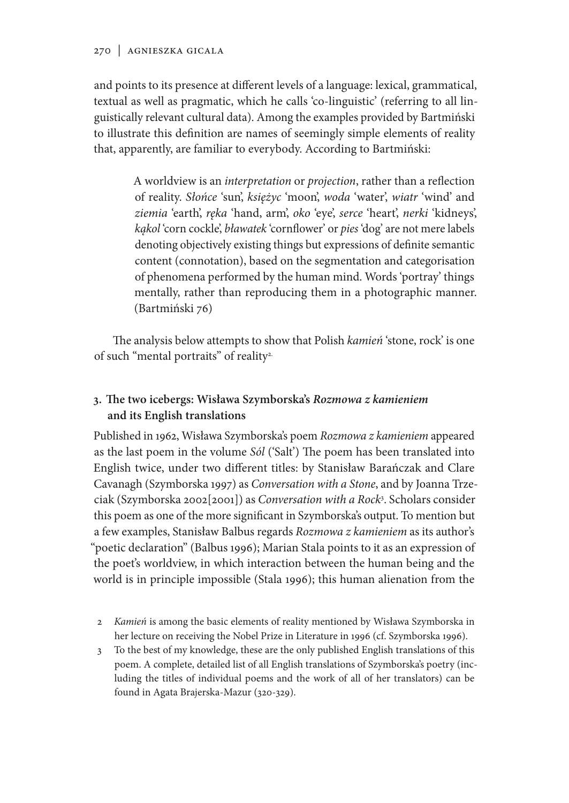and points to its presence at different levels of a language: lexical, grammatical, textual as well as pragmatic, which he calls 'co-linguistic' (referring to all linguistically relevant cultural data). Among the examples provided by Bartmiński to illustrate this definition are names of seemingly simple elements of reality that, apparently, are familiar to everybody. According to Bartmiński:

> A worldview is an *interpretation* or *projection*, rather than a reflection of reality. *Słońce* 'sun', *księżyc* 'moon', *woda* 'water', *wiatr* 'wind' and *ziemia* 'earth', *ręka* 'hand, arm', *oko* 'eye', *serce* 'heart', *nerki* 'kidneys', *kąkol* 'corn cockle', *bławatek* 'cornflower' or *pies* 'dog' are not mere labels denoting objectively existing things but expressions of definite semantic content (connotation), based on the segmentation and categorisation of phenomena performed by the human mind. Words 'portray' things mentally, rather than reproducing them in a photographic manner. (Bartmiński 76)

The analysis below attempts to show that Polish *kamień* 'stone, rock' is one of such "mental portraits" of reality<sup>2.</sup>

# **3. The two icebergs: Wisława Szymborska's** *Rozmowa z kamieniem* **and its English translations**

Published in 1962, Wisława Szymborska's poem *Rozmowa z kamieniem* appeared as the last poem in the volume *Sól* ('Salt') The poem has been translated into English twice, under two different titles: by Stanisław Barańczak and Clare Cavanagh (Szymborska 1997) as *Conversation with a Stone*, and by Joanna Trzeciak (Szymborska 2002[2001]) as *Conversation with a Rock*<sup>3</sup> . Scholars consider this poem as one of the more significant in Szymborska's output. To mention but a few examples, Stanisław Balbus regards *Rozmowa z kamieniem* as its author's "poetic declaration" (Balbus 1996); Marian Stala points to it as an expression of the poet's worldview, in which interaction between the human being and the world is in principle impossible (Stala 1996); this human alienation from the

- 2 *Kamień* is among the basic elements of reality mentioned by Wisława Szymborska in her lecture on receiving the Nobel Prize in Literature in 1996 (cf. Szymborska 1996).
- 3 To the best of my knowledge, these are the only published English translations of this poem. A complete, detailed list of all English translations of Szymborska's poetry (including the titles of individual poems and the work of all of her translators) can be found in Agata Brajerska-Mazur (320-329).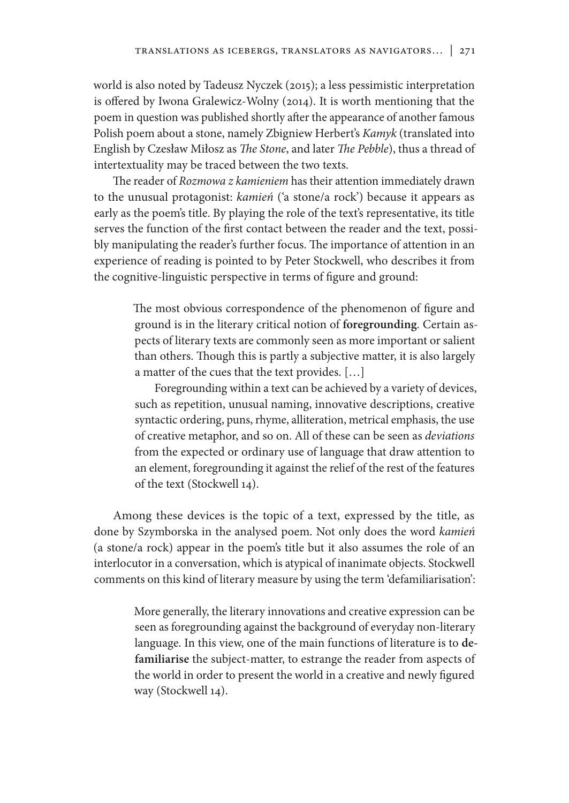world is also noted by Tadeusz Nyczek (2015); a less pessimistic interpretation is offered by Iwona Gralewicz-Wolny (2014). It is worth mentioning that the poem in question was published shortly after the appearance of another famous Polish poem about a stone, namely Zbigniew Herbert's *Kamyk* (translated into English by Czesław Miłosz as *The Stone*, and later *The Pebble*), thus a thread of intertextuality may be traced between the two texts.

The reader of *Rozmowa z kamieniem* has their attention immediately drawn to the unusual protagonist: *kamień* ('a stone/a rock') because it appears as early as the poem's title. By playing the role of the text's representative, its title serves the function of the first contact between the reader and the text, possibly manipulating the reader's further focus. The importance of attention in an experience of reading is pointed to by Peter Stockwell, who describes it from the cognitive-linguistic perspective in terms of figure and ground:

> The most obvious correspondence of the phenomenon of figure and ground is in the literary critical notion of **foregrounding**. Certain aspects of literary texts are commonly seen as more important or salient than others. Though this is partly a subjective matter, it is also largely a matter of the cues that the text provides. […]

> Foregrounding within a text can be achieved by a variety of devices, such as repetition, unusual naming, innovative descriptions, creative syntactic ordering, puns, rhyme, alliteration, metrical emphasis, the use of creative metaphor, and so on. All of these can be seen as *deviations*  from the expected or ordinary use of language that draw attention to an element, foregrounding it against the relief of the rest of the features of the text (Stockwell 14).

Among these devices is the topic of a text, expressed by the title, as done by Szymborska in the analysed poem. Not only does the word *kamień*  (a stone/a rock) appear in the poem's title but it also assumes the role of an interlocutor in a conversation, which is atypical of inanimate objects. Stockwell comments on this kind of literary measure by using the term 'defamiliarisation':

> More generally, the literary innovations and creative expression can be seen as foregrounding against the background of everyday non-literary language. In this view, one of the main functions of literature is to **defamiliarise** the subject-matter, to estrange the reader from aspects of the world in order to present the world in a creative and newly figured way (Stockwell 14).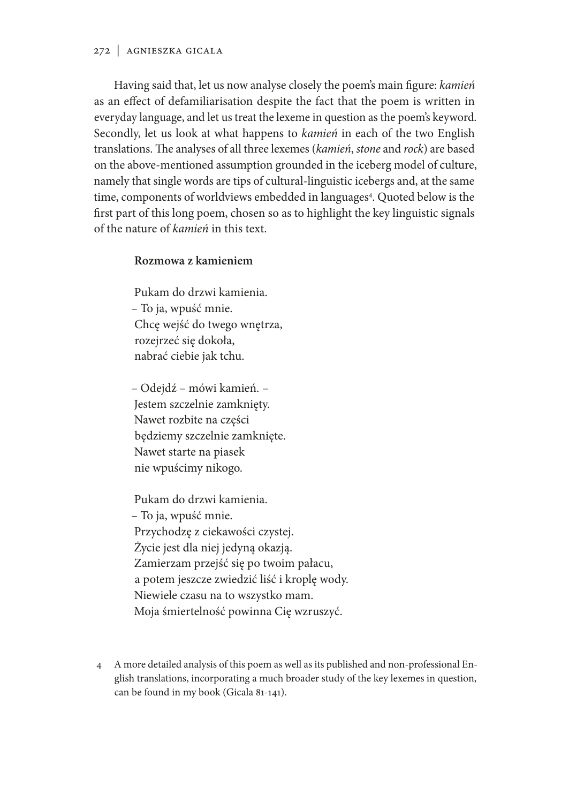Having said that, let us now analyse closely the poem's main figure: *kamień* as an effect of defamiliarisation despite the fact that the poem is written in everyday language, and let us treat the lexeme in question as the poem's keyword. Secondly, let us look at what happens to *kamień* in each of the two English translations. The analyses of all three lexemes (*kamień*, *stone* and *rock*) are based on the above-mentioned assumption grounded in the iceberg model of culture, namely that single words are tips of cultural-linguistic icebergs and, at the same time, components of worldviews embedded in languages<sup>4</sup>. Quoted below is the first part of this long poem, chosen so as to highlight the key linguistic signals of the nature of *kamień* in this text.

## **Rozmowa z kamieniem**

Pukam do drzwi kamienia. – To ja, wpuść mnie. Chcę wejść do twego wnętrza, rozejrzeć się dokoła, nabrać ciebie jak tchu.

– Odejdź – mówi kamień. – Jestem szczelnie zamknięty. Nawet rozbite na części będziemy szczelnie zamknięte. Nawet starte na piasek nie wpuścimy nikogo.

Pukam do drzwi kamienia. – To ja, wpuść mnie. Przychodzę z ciekawości czystej. Życie jest dla niej jedyną okazją. Zamierzam przejść się po twoim pałacu, a potem jeszcze zwiedzić liść i kroplę wody. Niewiele czasu na to wszystko mam. Moja śmiertelność powinna Cię wzruszyć.

4 A more detailed analysis of this poem as well as its published and non-professional English translations, incorporating a much broader study of the key lexemes in question, can be found in my book (Gicala 81-141).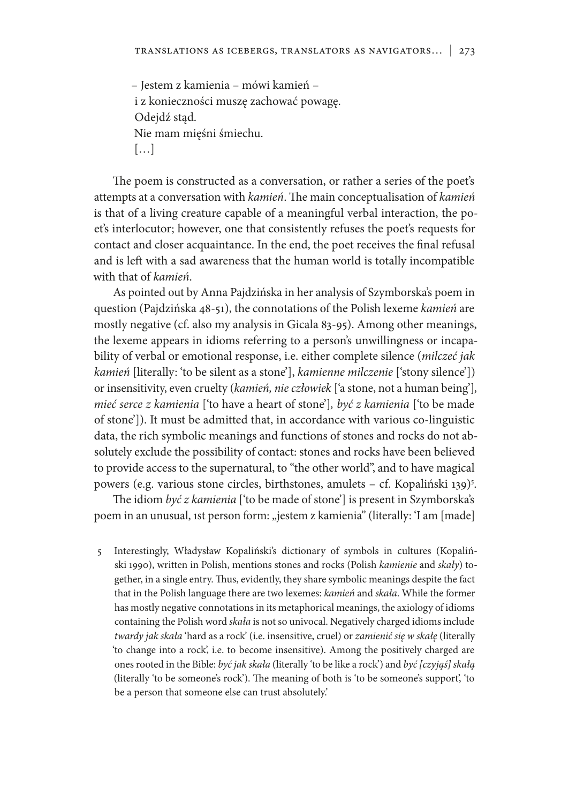– Jestem z kamienia – mówi kamień – i z konieczności muszę zachować powagę. Odejdź stąd. Nie mam mięśni śmiechu. […]

The poem is constructed as a conversation, or rather a series of the poet's attempts at a conversation with *kamień*. The main conceptualisation of *kamień* is that of a living creature capable of a meaningful verbal interaction, the poet's interlocutor; however, one that consistently refuses the poet's requests for contact and closer acquaintance. In the end, the poet receives the final refusal and is left with a sad awareness that the human world is totally incompatible with that of *kamień*.

As pointed out by Anna Pajdzińska in her analysis of Szymborska's poem in question (Pajdzińska 48-51), the connotations of the Polish lexeme *kamień* are mostly negative (cf. also my analysis in Gicala 83-95). Among other meanings, the lexeme appears in idioms referring to a person's unwillingness or incapability of verbal or emotional response, i.e. either complete silence (*milczeć jak kamień* [literally: 'to be silent as a stone'], *kamienne milczenie* ['stony silence']) or insensitivity, even cruelty (*kamień, nie człowiek* ['a stone, not a human being']*, mieć serce z kamienia* ['to have a heart of stone']*, być z kamienia* ['to be made of stone']). It must be admitted that, in accordance with various co-linguistic data, the rich symbolic meanings and functions of stones and rocks do not absolutely exclude the possibility of contact: stones and rocks have been believed to provide access to the supernatural, to "the other world", and to have magical powers (e.g. various stone circles, birthstones, amulets – cf. Kopaliński 139)<sup>5</sup>.

The idiom *być z kamienia* ['to be made of stone'] is present in Szymborska's poem in an unusual, 1st person form: "jestem z kamienia" (literally: 'I am [made]

5 Interestingly, Władysław Kopaliński's dictionary of symbols in cultures (Kopaliński 1990), written in Polish, mentions stones and rocks (Polish *kamienie* and *skały*) together, in a single entry. Thus, evidently, they share symbolic meanings despite the fact that in the Polish language there are two lexemes: *kamień* and *skała*. While the former has mostly negative connotations in its metaphorical meanings, the axiology of idioms containing the Polish word *skała* is not so univocal. Negatively charged idioms include *twardy jak skała* 'hard as a rock' (i.e. insensitive, cruel) or *zamienić się w skałę* (literally 'to change into a rock', i.e. to become insensitive). Among the positively charged are ones rooted in the Bible: *być jak skała* (literally 'to be like a rock') and *być [czyjąś] skałą*  (literally 'to be someone's rock'). The meaning of both is 'to be someone's support', 'to be a person that someone else can trust absolutely.'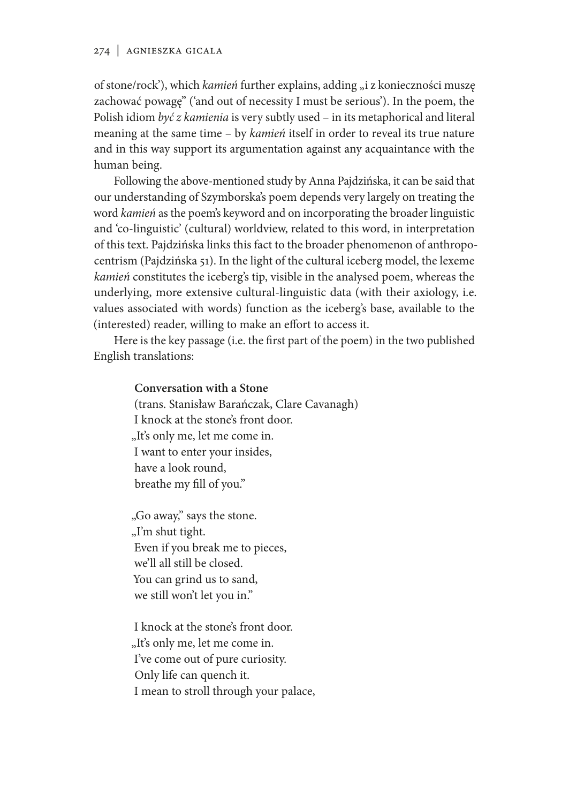of stone/rock'), which *kamień* further explains, adding "i z konieczności muszę zachować powagę" ('and out of necessity I must be serious'). In the poem, the Polish idiom *być z kamienia* is very subtly used – in its metaphorical and literal meaning at the same time – by *kamień* itself in order to reveal its true nature and in this way support its argumentation against any acquaintance with the human being.

Following the above-mentioned study by Anna Pajdzińska, it can be said that our understanding of Szymborska's poem depends very largely on treating the word *kamień* as the poem's keyword and on incorporating the broader linguistic and 'co-linguistic' (cultural) worldview, related to this word, in interpretation of this text. Pajdzińska links this fact to the broader phenomenon of anthropocentrism (Pajdzińska 51). In the light of the cultural iceberg model, the lexeme *kamień* constitutes the iceberg's tip, visible in the analysed poem, whereas the underlying, more extensive cultural-linguistic data (with their axiology, i.e. values associated with words) function as the iceberg's base, available to the (interested) reader, willing to make an effort to access it.

Here is the key passage (i.e. the first part of the poem) in the two published English translations:

## **Conversation with a Stone**

(trans. Stanisław Barańczak, Clare Cavanagh) I knock at the stone's front door. "It's only me, let me come in. I want to enter your insides, have a look round, breathe my fill of you."

"Go away," says the stone. "I'm shut tight. Even if you break me to pieces, we'll all still be closed. You can grind us to sand, we still won't let you in."

I knock at the stone's front door. "It's only me, let me come in. I've come out of pure curiosity. Only life can quench it. I mean to stroll through your palace,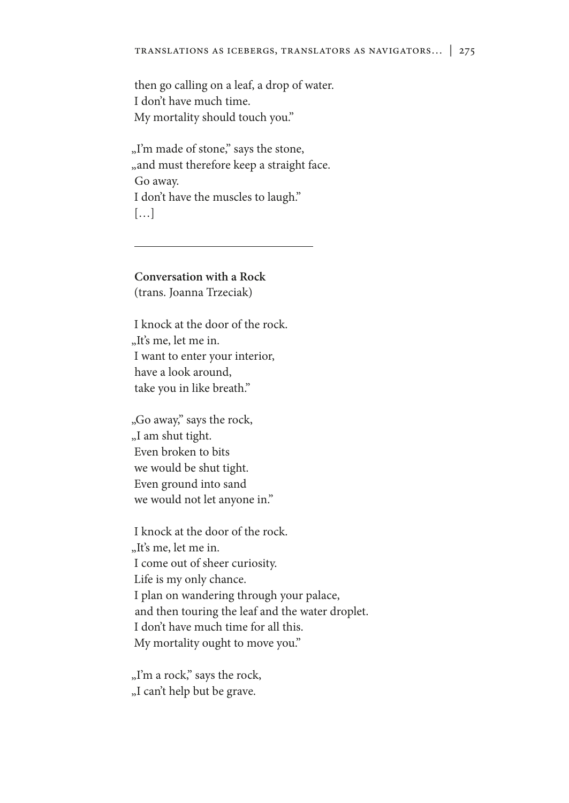then go calling on a leaf, a drop of water. I don't have much time. My mortality should touch you."

"I'm made of stone," says the stone, "and must therefore keep a straight face. Go away. I don't have the muscles to laugh." […]

**Conversation with a Rock** (trans. Joanna Trzeciak)

I knock at the door of the rock. "It's me, let me in. I want to enter your interior, have a look around, take you in like breath."

"Go away," says the rock, "I am shut tight. Even broken to bits we would be shut tight. Even ground into sand we would not let anyone in."

I knock at the door of the rock. "It's me, let me in. I come out of sheer curiosity. Life is my only chance. I plan on wandering through your palace, and then touring the leaf and the water droplet. I don't have much time for all this. My mortality ought to move you."

"I'm a rock," says the rock, "I can't help but be grave.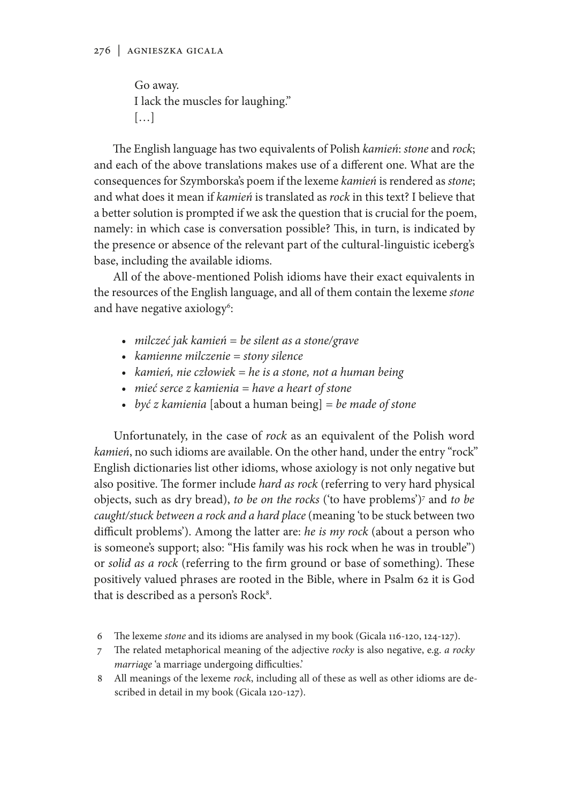Go away. I lack the muscles for laughing." […]

The English language has two equivalents of Polish *kamień*: *stone* and *rock*; and each of the above translations makes use of a different one. What are the consequences for Szymborska's poem if the lexeme *kamień* is rendered as *stone*; and what does it mean if *kamień* is translated as *rock* in this text? I believe that a better solution is prompted if we ask the question that is crucial for the poem, namely: in which case is conversation possible? This, in turn, is indicated by the presence or absence of the relevant part of the cultural-linguistic iceberg's base, including the available idioms.

All of the above-mentioned Polish idioms have their exact equivalents in the resources of the English language, and all of them contain the lexeme *stone*  and have negative axiology<sup>6</sup>:

- *milczeć jak kamień = be silent as a stone/grave*
- *kamienne milczenie = stony silence*
- *kamień, nie człowiek = he is a stone, not a human being*
- *mieć serce z kamienia = have a heart of stone*
- *być z kamienia* [about a human being] *= be made of stone*

Unfortunately, in the case of *rock* as an equivalent of the Polish word *kamień*, no such idioms are available. On the other hand, under the entry "rock" English dictionaries list other idioms, whose axiology is not only negative but also positive. The former include *hard as rock* (referring to very hard physical objects, such as dry bread), *to be on the rocks* ('to have problems')7 and *to be caught/stuck between a rock and a hard place* (meaning 'to be stuck between two difficult problems'). Among the latter are: *he is my rock* (about a person who is someone's support; also: "His family was his rock when he was in trouble") or *solid as a rock* (referring to the firm ground or base of something). These positively valued phrases are rooted in the Bible, where in Psalm 62 it is God that is described as a person's Rock<sup>8</sup>.

- 6 The lexeme *stone* and its idioms are analysed in my book (Gicala 116-120, 124-127).
- 7 The related metaphorical meaning of the adjective *rocky* is also negative, e.g. *a rocky marriage* 'a marriage undergoing difficulties.'
- 8 All meanings of the lexeme *rock*, including all of these as well as other idioms are described in detail in my book (Gicala 120-127).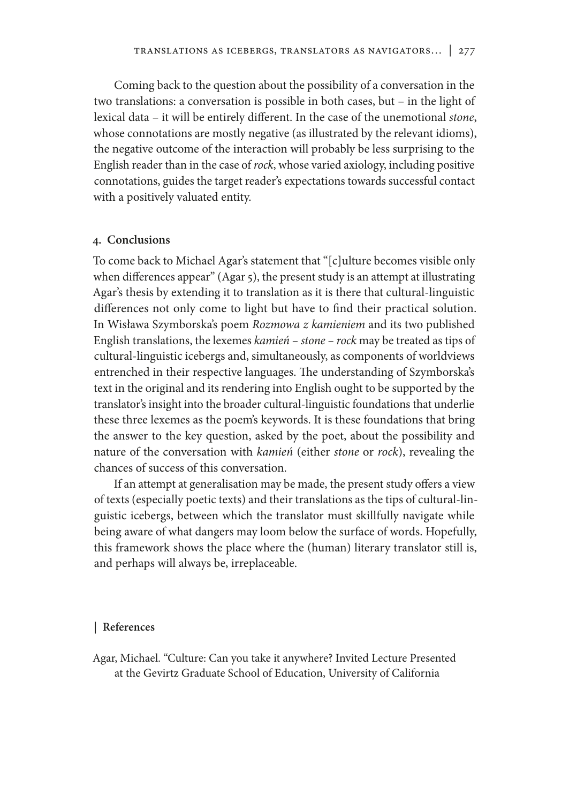Coming back to the question about the possibility of a conversation in the two translations: a conversation is possible in both cases, but – in the light of lexical data – it will be entirely different. In the case of the unemotional *stone*, whose connotations are mostly negative (as illustrated by the relevant idioms), the negative outcome of the interaction will probably be less surprising to the English reader than in the case of *rock*, whose varied axiology, including positive connotations, guides the target reader's expectations towards successful contact with a positively valuated entity.

#### **4. Conclusions**

To come back to Michael Agar's statement that "[c]ulture becomes visible only when differences appear" (Agar 5), the present study is an attempt at illustrating Agar's thesis by extending it to translation as it is there that cultural-linguistic differences not only come to light but have to find their practical solution. In Wisława Szymborska's poem *Rozmowa z kamieniem* and its two published English translations, the lexemes *kamień – stone – rock* may be treated as tips of cultural-linguistic icebergs and, simultaneously, as components of worldviews entrenched in their respective languages. The understanding of Szymborska's text in the original and its rendering into English ought to be supported by the translator's insight into the broader cultural-linguistic foundations that underlie these three lexemes as the poem's keywords. It is these foundations that bring the answer to the key question, asked by the poet, about the possibility and nature of the conversation with *kamień* (either *stone* or *rock*), revealing the chances of success of this conversation.

If an attempt at generalisation may be made, the present study offers a view of texts (especially poetic texts) and their translations as the tips of cultural-linguistic icebergs, between which the translator must skillfully navigate while being aware of what dangers may loom below the surface of words. Hopefully, this framework shows the place where the (human) literary translator still is, and perhaps will always be, irreplaceable.

#### **| References**

Agar, Michael. "Culture: Can you take it anywhere? Invited Lecture Presented at the Gevirtz Graduate School of Education, University of California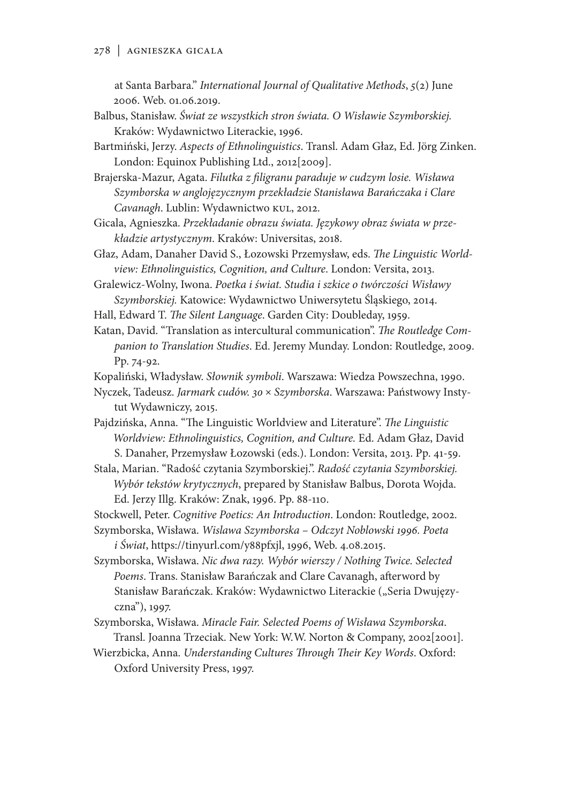at Santa Barbara." *International Journal of Qualitative Methods*, *5*(2) June 2006. Web. 01.06.2019.

- Balbus, Stanisław. *Świat ze wszystkich stron świata. O Wisławie Szymborskiej.* Kraków: Wydawnictwo Literackie, 1996.
- Bartmiński, Jerzy. *Aspects of Ethnolinguistics*. Transl. Adam Głaz, Ed. Jörg Zinken. London: Equinox Publishing Ltd., 2012[2009].
- Brajerska-Mazur, Agata. *Filutka z filigranu paraduje w cudzym losie. Wisława Szymborska w anglojęzycznym przekładzie Stanisława Barańczaka i Clare Cavanagh*. Lublin: Wydawnictwo KUL, 2012.
- Gicala, Agnieszka. *Przekładanie obrazu świata. Językowy obraz świata w przekładzie artystycznym*. Kraków: Universitas, 2018.
- Głaz, Adam, Danaher David S., Łozowski Przemysław, eds. *The Linguistic Worldview: Ethnolinguistics, Cognition, and Culture*. London: Versita, 2013.

Gralewicz-Wolny, Iwona. *Poetka i świat. Studia i szkice o twórczości Wisławy Szymborskiej.* Katowice: Wydawnictwo Uniwersytetu Śląskiego, 2014.

- Hall, Edward T. *The Silent Language*. Garden City: Doubleday, 1959.
- Katan, David. "Translation as intercultural communication". *The Routledge Companion to Translation Studies*. Ed. Jeremy Munday. London: Routledge, 2009. Pp. 74-92.
- Kopaliński, Władysław. *Słownik symboli*. Warszawa: Wiedza Powszechna, 1990.
- Nyczek, Tadeusz. *Jarmark cudów. 30* × *Szymborska*. Warszawa: Państwowy Instytut Wydawniczy, 2015.
- Pajdzińska, Anna. "The Linguistic Worldview and Literature". *The Linguistic Worldview: Ethnolinguistics, Cognition, and Culture.* Ed. Adam Głaz, David S. Danaher, Przemysław Łozowski (eds.). London: Versita, 2013. Pp. 41-59.
- Stala, Marian. "Radość czytania Szymborskiej.". *Radość czytania Szymborskiej. Wybór tekstów krytycznych*, prepared by Stanisław Balbus, Dorota Wojda. Ed. Jerzy Illg. Kraków: Znak, 1996. Pp. 88-110.
- Stockwell, Peter. *Cognitive Poetics: An Introduction*. London: Routledge, 2002.
- Szymborska, Wisława. *Wislawa Szymborska Odczyt Noblowski 1996. Poeta i Świat*, https://tinyurl.com/y88pfxjl, 1996, Web. 4.08.2015.
- Szymborska, Wisława. *Nic dwa razy. Wybór wierszy / Nothing Twice. Selected Poems*. Trans. Stanisław Barańczak and Clare Cavanagh, afterword by Stanisław Barańczak. Kraków: Wydawnictwo Literackie ("Seria Dwujęzyczna"), 1997.
- Szymborska, Wisława. *Miracle Fair. Selected Poems of Wisława Szymborska*. Transl. Joanna Trzeciak. New York: W.W. Norton & Company, 2002[2001].
- Wierzbicka, Anna. *Understanding Cultures Through Their Key Words*. Oxford: Oxford University Press, 1997.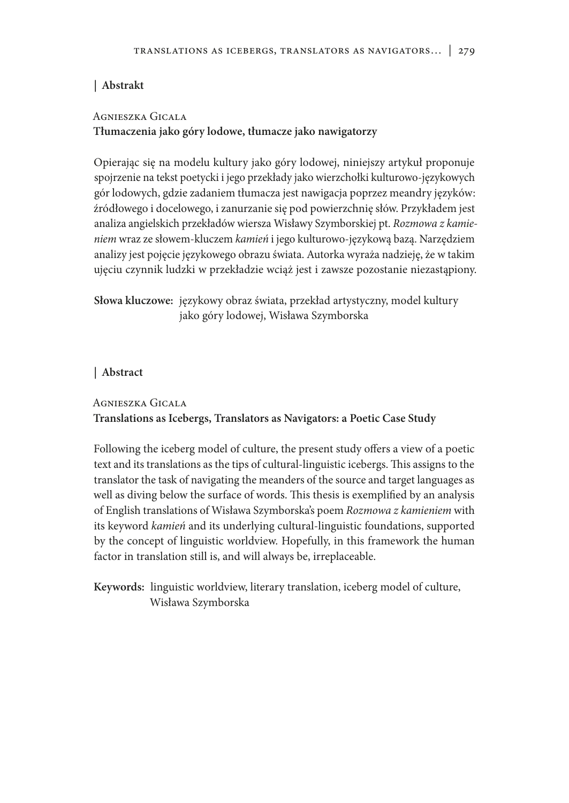# **| Abstrakt**

# Agnieszka Gicala

# **Tłumaczenia jako góry lodowe, tłumacze jako nawigatorzy**

Opierając się na modelu kultury jako góry lodowej, niniejszy artykuł proponuje spojrzenie na tekst poetycki i jego przekłady jako wierzchołki kulturowo-językowych gór lodowych, gdzie zadaniem tłumacza jest nawigacja poprzez meandry języków: źródłowego i docelowego, i zanurzanie się pod powierzchnię słów. Przykładem jest analiza angielskich przekładów wiersza Wisławy Szymborskiej pt. *Rozmowa z kamieniem* wraz ze słowem-kluczem *kamień* i jego kulturowo-językową bazą. Narzędziem analizy jest pojęcie językowego obrazu świata. Autorka wyraża nadzieję, że w takim ujęciu czynnik ludzki w przekładzie wciąż jest i zawsze pozostanie niezastąpiony.

**Słowa kluczowe:** językowy obraz świata, przekład artystyczny, model kultury jako góry lodowej, Wisława Szymborska

# **| Abstract**

# Agnieszka Gicala **Translations as Icebergs, Translators as Navigators: a Poetic Case Study**

Following the iceberg model of culture, the present study offers a view of a poetic text and its translations as the tips of cultural-linguistic icebergs. This assigns to the translator the task of navigating the meanders of the source and target languages as well as diving below the surface of words. This thesis is exemplified by an analysis of English translations of Wisława Szymborska's poem *Rozmowa z kamieniem* with its keyword *kamień* and its underlying cultural-linguistic foundations, supported by the concept of linguistic worldview. Hopefully, in this framework the human factor in translation still is, and will always be, irreplaceable.

**Keywords:** linguistic worldview, literary translation, iceberg model of culture, Wisława Szymborska